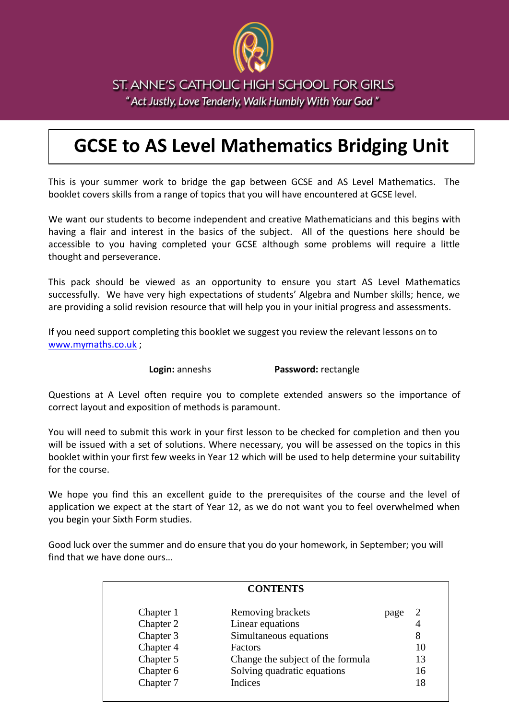

ST. ANNE'S CATHOLIC HIGH SCHOOL FOR GIRLS " Act Justly, Love Tenderly, Walk Humbly With Your God"

# **GCSE to AS Level Mathematics Bridging Unit**

This is your summer work to bridge the gap between GCSE and AS Level Mathematics. The booklet covers skills from a range of topics that you will have encountered at GCSE level.

We want our students to become independent and creative Mathematicians and this begins with having a flair and interest in the basics of the subject. All of the questions here should be accessible to you having completed your GCSE although some problems will require a little thought and perseverance.

This pack should be viewed as an opportunity to ensure you start AS Level Mathematics successfully. We have very high expectations of students' Algebra and Number skills; hence, we are providing a solid revision resource that will help you in your initial progress and assessments.

If you need support completing this booklet we suggest you review the relevant lessons on to [www.mymaths.co.uk](http://www.mymaths.co.uk/) ;

**Login:** anneshs **Password:** rectangle

Questions at A Level often require you to complete extended answers so the importance of correct layout and exposition of methods is paramount.

You will need to submit this work in your first lesson to be checked for completion and then you will be issued with a set of solutions. Where necessary, you will be assessed on the topics in this booklet within your first few weeks in Year 12 which will be used to help determine your suitability for the course.

We hope you find this an excellent guide to the prerequisites of the course and the level of application we expect at the start of Year 12, as we do not want you to feel overwhelmed when you begin your Sixth Form studies.

Good luck over the summer and do ensure that you do your homework, in September; you will find that we have done ours…

|           | <b>CONTENTS</b>                   |      |    |
|-----------|-----------------------------------|------|----|
| Chapter 1 | Removing brackets                 | page | 2  |
| Chapter 2 | Linear equations                  |      | 4  |
| Chapter 3 | Simultaneous equations            |      | 8  |
| Chapter 4 | <b>Factors</b>                    |      | 10 |
| Chapter 5 | Change the subject of the formula |      | 13 |
| Chapter 6 | Solving quadratic equations       |      | 16 |
| Chapter 7 | Indices                           |      | 18 |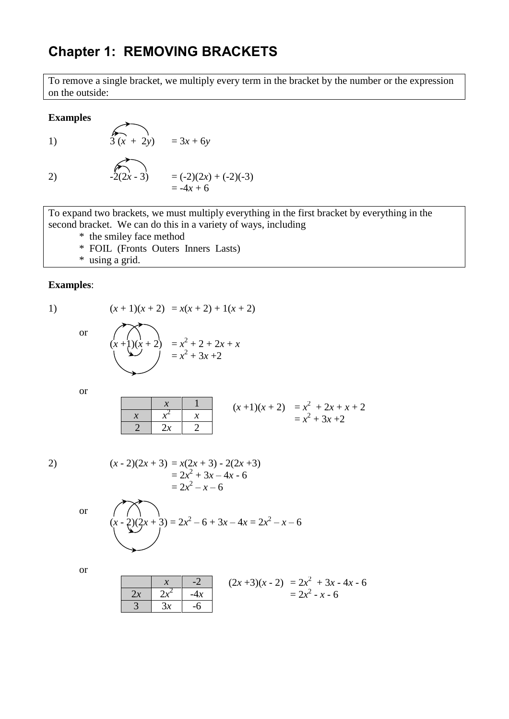# **Chapter 1: REMOVING BRACKETS**

To remove a single bracket, we multiply every term in the bracket by the number or the expression on the outside:

**Examples**

1)  $\qquad \qquad \begin{array}{c} 6 \\ 3(x + 2y) = 3x + 6y \end{array}$ 2)  $-2(2x-3) = (-2)(2x) + (-2)(-3)$  $= -4x + 6$ 

To expand two brackets, we must multiply everything in the first bracket by everything in the second bracket. We can do this in a variety of ways, including

\* the smiley face method

- \* FOIL (Fronts Outers Inners Lasts)
- \* using a grid.

#### **Examples**:

1) 
$$
(x + 1)(x + 2) = x(x + 2) + 1(x + 2)
$$

$$
\quad \text{or} \quad
$$

$$
\overline{X}
$$

 $= x^2 + 3x + 2$ 

$$
(x+1)(x+2) = x2 + 2 + 2x + x
$$
  
= x<sup>2</sup> + 3x + 2

or

$$
\begin{array}{c|cc}\n & x & 1 \\
\hline\nx & x^2 & x \\
\hline\n2 & 2x & 2\n\end{array}
$$
\n
$$
(x+1)(x+2) = x^2 + 2x + x + 2
$$
\n
$$
= x^2 + 3x + 2
$$

2) 
$$
(x-2)(2x+3) = x(2x+3) - 2(2x+3)
$$

$$
= 2x^2 + 3x - 4x - 6
$$

$$
= 2x^2 - x - 6
$$

or

$$
(x-2)(2x+3) = 2x^2 - 6 + 3x - 4x = 2x^2 - x - 6
$$

or

$$
\begin{array}{|c|c|c|c|c|}\n\hline\n & x & -2 & (2x+3)(x-2) & = 2x^2 + 3x - 4x - 6 \\
\hline\n & 3 & 3x & -6 & 2x^2 - x - 6\n\end{array}
$$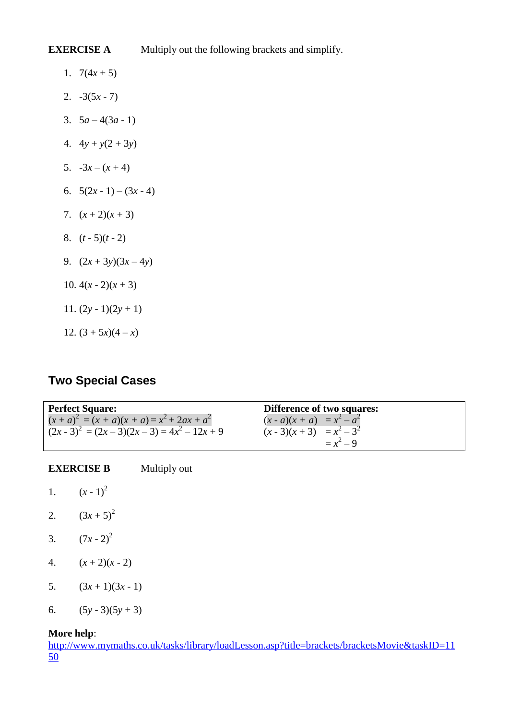**EXERCISE A** Multiply out the following brackets and simplify.

- 1.  $7(4x + 5)$
- 2. -3(5*x* 7)
- 3.  $5a-4(3a-1)$
- 4.  $4y + y(2 + 3y)$
- 5.  $-3x (x + 4)$
- 6.  $5(2x-1)-(3x-4)$
- 7.  $(x+2)(x+3)$
- 8.  $(t 5)(t 2)$
- 9.  $(2x + 3y)(3x 4y)$
- 10.  $4(x 2)(x + 3)$
- 11.  $(2y 1)(2y + 1)$
- 12.  $(3 + 5x)(4 x)$

### **Two Special Cases**

**Perfect Square:** Difference of two squares:  $(x + a)^2 = (x + a)(x + a) = x^2 + 2ax + a^2$  $(x - a)(x + a) = x^2 - a^2$  $(2x-3)^2 = (2x-3)(2x-3) = 4x^2$  $(x-3)(x+3) = x^2 - 3^2$  $=x^2-9$ 

**EXERCISE B** Multiply out

- 1.  $(x-1)^2$
- 2.  $(3x+5)^2$
- 3.  $(7x 2)^2$
- 4.  $(x+2)(x-2)$
- 5.  $(3x+1)(3x-1)$
- 6.  $(5y-3)(5y+3)$

#### **More help**:

[http://www.mymaths.co.uk/tasks/library/loadLesson.asp?title=brackets/bracketsMovie&taskID=11](http://www.mymaths.co.uk/tasks/library/loadLesson.asp?title=brackets/bracketsMovie&taskID=1150) [50](http://www.mymaths.co.uk/tasks/library/loadLesson.asp?title=brackets/bracketsMovie&taskID=1150)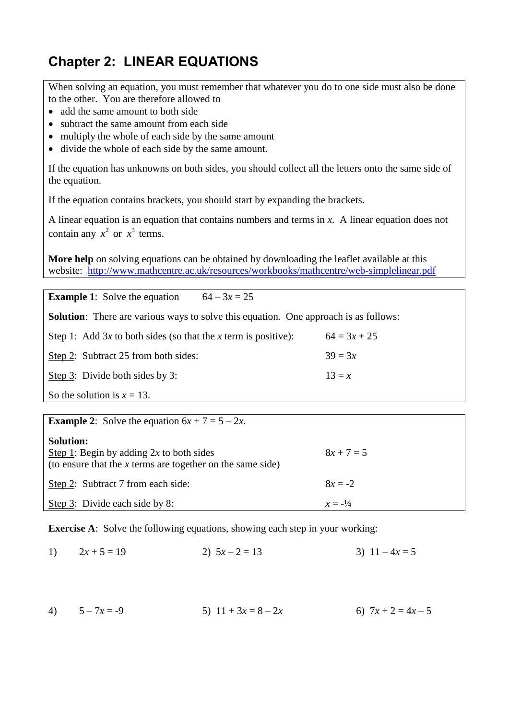# **Chapter 2: LINEAR EQUATIONS**

When solving an equation, you must remember that whatever you do to one side must also be done to the other. You are therefore allowed to

- add the same amount to both side
- subtract the same amount from each side
- multiply the whole of each side by the same amount
- divide the whole of each side by the same amount.

If the equation has unknowns on both sides, you should collect all the letters onto the same side of the equation.

If the equation contains brackets, you should start by expanding the brackets.

A linear equation is an equation that contains numbers and terms in *x*. A linear equation does not contain any  $x^2$  or  $x^3$  terms.

**More help** on solving equations can be obtained by downloading the leaflet available at this website: <http://www.mathcentre.ac.uk/resources/workbooks/mathcentre/web-simplelinear.pdf>

**Example 1**: Solve the equation  $64 - 3x = 25$ 

**Solution**: There are various ways to solve this equation. One approach is as follows:

| Step 1: Add 3x to both sides (so that the x term is positive): | $64 = 3x + 25$ |
|----------------------------------------------------------------|----------------|
| Step 2: Subtract 25 from both sides:                           | $39 = 3x$      |
| Step 3: Divide both sides by 3:                                | $13 = x$       |

So the solution is  $x = 13$ .

**Example 2:** Solve the equation  $6x + 7 = 5 - 2x$ .

| <b>Solution:</b><br>Step 1: Begin by adding $2x$ to both sides<br>(to ensure that the $x$ terms are together on the same side) | $8x + 7 = 5$       |
|--------------------------------------------------------------------------------------------------------------------------------|--------------------|
| Step 2: Subtract 7 from each side:                                                                                             | $8x = -2$          |
| Step 3: Divide each side by 8:                                                                                                 | $x = -\frac{1}{4}$ |

**Exercise A**: Solve the following equations, showing each step in your working:

1)  $2x + 5 = 19$  2)  $5x - 2 = 13$  3)  $11 - 4x = 5$ 

4)  $5-7x = -9$  5)  $11 + 3x = 8-2x$  6)  $7x + 2 = 4x - 5$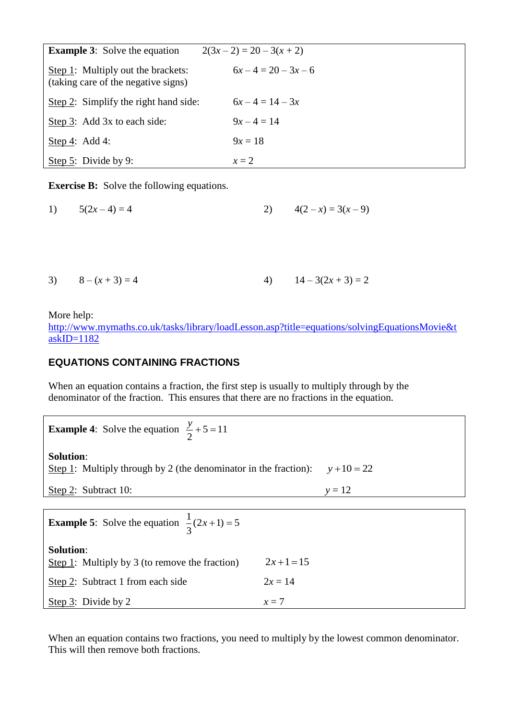| <b>Example 3:</b> Solve the equation                                      | $2(3x-2) = 20 - 3(x + 2)$ |
|---------------------------------------------------------------------------|---------------------------|
| Step 1: Multiply out the brackets:<br>(taking care of the negative signs) | $6x-4=20-3x-6$            |
| Step 2: Simplify the right hand side:                                     | $6x-4=14-3x$              |
| Step 3: Add 3x to each side:                                              | $9x-4=14$                 |
| Step 4: Add 4:                                                            | $9x = 18$                 |
| Step 5: Divide by 9:                                                      | $x=2$                     |

**Exercise B:** Solve the following equations.

1)  $5(2x-4) = 4$  2)  $4(2-x) = 3(x-9)$ 

| 3) $8-(x+3)=4$ |  | 4) $14-3(2x+3)=2$ |
|----------------|--|-------------------|
|                |  |                   |

More help:

[http://www.mymaths.co.uk/tasks/library/loadLesson.asp?title=equations/solvingEquationsMovie&t](http://www.mymaths.co.uk/tasks/library/loadLesson.asp?title=equations/solvingEquationsMovie&taskID=1182) [askID=1182](http://www.mymaths.co.uk/tasks/library/loadLesson.asp?title=equations/solvingEquationsMovie&taskID=1182)

#### **EQUATIONS CONTAINING FRACTIONS**

When an equation contains a fraction, the first step is usually to multiply through by the denominator of the fraction. This ensures that there are no fractions in the equation.

**Example 4:** Solve the equation  $\frac{y}{2} + 5 = 11$ 2  $\frac{y}{2} + 5 =$ 

**Solution**:

Step 1: Multiply through by 2 (the denominator in the fraction):  $y + 10 = 22$ 

Step 2: Subtract 10:  $y = 12$ 

| <b>Example 5:</b> Solve the equation $\frac{1}{3}(2x+1) = 5$       |           |
|--------------------------------------------------------------------|-----------|
| <b>Solution:</b><br>Step 1: Multiply by 3 (to remove the fraction) | $2x+1=15$ |
| Step 2: Subtract 1 from each side                                  | $2x = 14$ |
| Step $3$ : Divide by 2                                             | $x=7$     |

When an equation contains two fractions, you need to multiply by the lowest common denominator. This will then remove both fractions.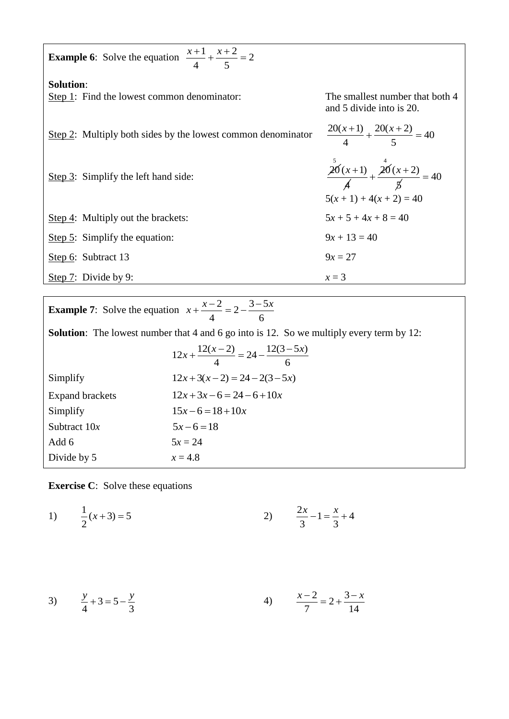| <b>Example 6:</b> Solve the equation $\frac{x+1}{4} + \frac{x+2}{5} = 2$ |                                                                        |
|--------------------------------------------------------------------------|------------------------------------------------------------------------|
| <b>Solution:</b><br>Step 1: Find the lowest common denominator:          | The smallest number that both 4<br>and 5 divide into is 20.            |
| Step 2: Multiply both sides by the lowest common denominator             | $\frac{20(x+1)}{4} + \frac{20(x+2)}{5} = 40$                           |
| Step $3$ : Simplify the left hand side:                                  | $\frac{20(x+1)}{4} + \frac{20(x+2)}{5} = 40$<br>$5(x+1) + 4(x+2) = 40$ |
| Step 4: Multiply out the brackets:                                       | $5x + 5 + 4x + 8 = 40$                                                 |
| Step $5$ : Simplify the equation:                                        | $9x + 13 = 40$                                                         |
| Step 6: Subtract 13                                                      | $9x = 27$                                                              |
| Step 7: Divide by 9:                                                     | $x=3$                                                                  |

|                        | <b>Solution</b> : The lowest number that 4 and 6 go into is 12. So we multiply every term by 12: |
|------------------------|--------------------------------------------------------------------------------------------------|
|                        | $12x + \frac{12(x-2)}{4} = 24 - \frac{12(3-5x)}{6}$                                              |
| Simplify               | $12x+3(x-2) = 24-2(3-5x)$                                                                        |
| <b>Expand brackets</b> | $12x+3x-6=24-6+10x$                                                                              |
| Simplify               | $15x-6=18+10x$                                                                                   |
| Subtract $10x$         | $5x-6=18$                                                                                        |
| Add 6                  | $5x = 24$                                                                                        |
| Divide by 5            | $x = 4.8$                                                                                        |

**Exercise C**: Solve these equations

1) 
$$
\frac{1}{2}(x+3) = 5
$$
 2)  $\frac{2x}{3} - 1 = \frac{x}{3} + 4$ 

3) 
$$
\frac{y}{4} + 3 = 5 - \frac{y}{3}
$$
 4)  $\frac{x-2}{7} = 2 + \frac{3-x}{14}$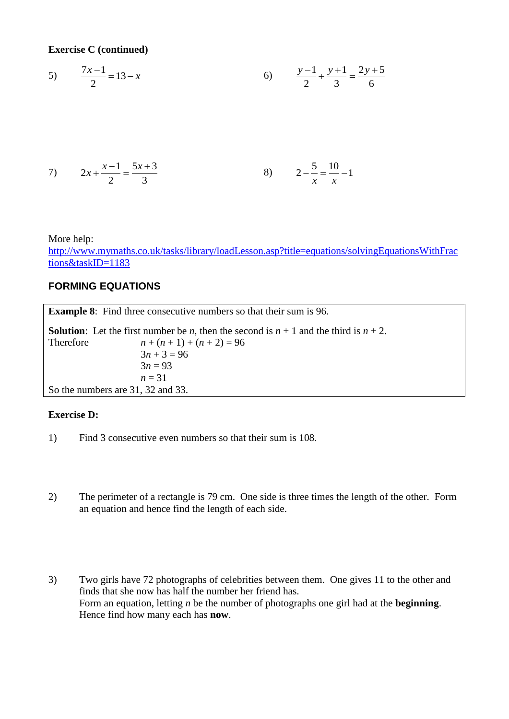**Exercise C (continued)**

5) 
$$
\frac{7x-1}{2} = 13 - x
$$
 6) 
$$
\frac{y-1}{2} + \frac{y+1}{3} = \frac{2y+5}{6}
$$

7) 
$$
2x + \frac{x-1}{2} = \frac{5x+3}{3}
$$
   
8)  $2 - \frac{5}{x} = \frac{10}{x} - 1$ 

More help:

[http://www.mymaths.co.uk/tasks/library/loadLesson.asp?title=equations/solvingEquationsWithFrac](http://www.mymaths.co.uk/tasks/library/loadLesson.asp?title=equations/solvingEquationsWithFractions&taskID=1183) [tions&taskID=1183](http://www.mymaths.co.uk/tasks/library/loadLesson.asp?title=equations/solvingEquationsWithFractions&taskID=1183)

#### **FORMING EQUATIONS**

**Example 8:** Find three consecutive numbers so that their sum is 96.

**Solution:** Let the first number be *n*, then the second is  $n + 1$  and the third is  $n + 2$ . Therefore  $n + (n + 1) + (n + 2) = 96$  $3n + 3 = 96$  $3n = 93$ *n* = 31 So the numbers are 31, 32 and 33.

#### **Exercise D:**

- 1) Find 3 consecutive even numbers so that their sum is 108.
- 2) The perimeter of a rectangle is 79 cm. One side is three times the length of the other. Form an equation and hence find the length of each side.
- 3) Two girls have 72 photographs of celebrities between them. One gives 11 to the other and finds that she now has half the number her friend has. Form an equation, letting *n* be the number of photographs one girl had at the **beginning**. Hence find how many each has **now**.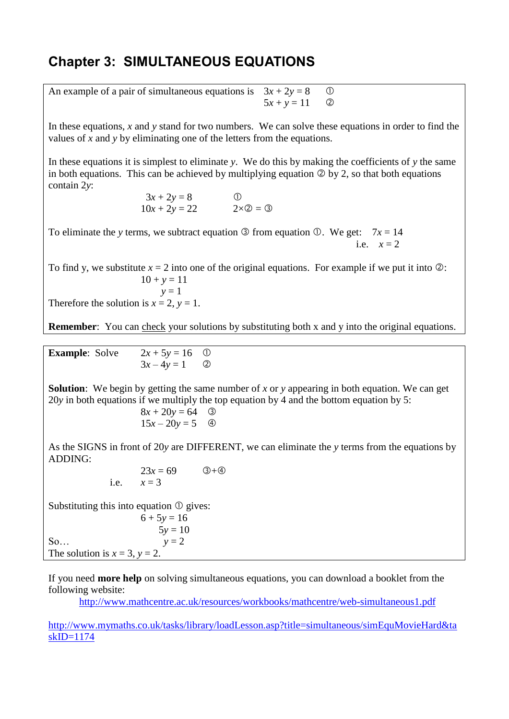# **Chapter 3: SIMULTANEOUS EQUATIONS**

| An example of a pair of simultaneous equations is $3x + 2y = 8$ 0 |                   |  |
|-------------------------------------------------------------------|-------------------|--|
|                                                                   | $5x + y = 11$ (2) |  |

In these equations, *x* and *y* stand for two numbers. We can solve these equations in order to find the values of *x* and *y* by eliminating one of the letters from the equations.

In these equations it is simplest to eliminate *y*. We do this by making the coefficients of *y* the same in both equations. This can be achieved by multiplying equation  $\circledcirc$  by 2, so that both equations contain 2*y*:

$$
3x + 2y = 8
$$
  
 
$$
10x + 2y = 22
$$
 
$$
2 \times 2 = 3
$$

To eliminate the *y* terms, we subtract equation  $\circled{3}$  from equation  $\circled{0}$ . We get:  $7x = 14$ i.e.  $x=2$ 

To find y, we substitute  $x = 2$  into one of the original equations. For example if we put it into  $\oslash$ :  $10 + y = 11$  $y = 1$ 

Therefore the solution is  $x = 2$ ,  $y = 1$ .

**Remember:** You can check your solutions by substituting both x and y into the original equations.

| <b>Example:</b> Solve | $2x + 5y = 16$ ① |  |
|-----------------------|------------------|--|
|                       | $3x-4y=1$ (2)    |  |

**Solution**: We begin by getting the same number of *x* or *y* appearing in both equation. We can get 20*y* in both equations if we multiply the top equation by 4 and the bottom equation by 5:

$$
8x + 20y = 64
$$
 ③  

$$
15x - 20y = 5
$$
 ④

As the SIGNS in front of 20*y* are DIFFERENT, we can eliminate the *y* terms from the equations by ADDING:

> $23x = 69$  3+4 i.e.  $x = 3$

Substituting this into equation  $\mathcal{D}$  gives:

| $6 + 5y = 16$                       |           |
|-------------------------------------|-----------|
|                                     | $5y = 10$ |
| So                                  | $y = 2$   |
| The solution is $x = 3$ , $y = 2$ . |           |
|                                     |           |

If you need **more help** on solving simultaneous equations, you can download a booklet from the following website:

<http://www.mathcentre.ac.uk/resources/workbooks/mathcentre/web-simultaneous1.pdf>

[http://www.mymaths.co.uk/tasks/library/loadLesson.asp?title=simultaneous/simEquMovieHard&ta](http://www.mymaths.co.uk/tasks/library/loadLesson.asp?title=simultaneous/simEquMovieHard&taskID=1174)  $skID=1174$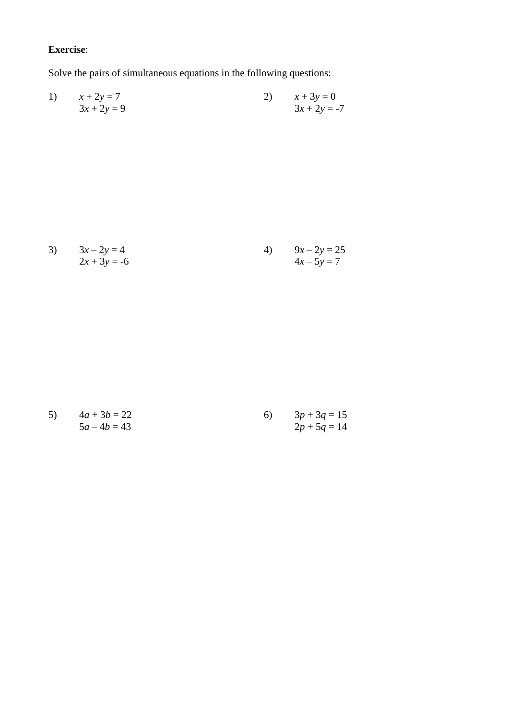# **Exercise**:

Solve the pairs of simultaneous equations in the following questions:

1) 
$$
x + 2y = 7
$$
  
  $3x + 2y = 9$   
2)  $x + 3y = 0$   
  $3x + 2y = -7$ 

3) 
$$
3x-2y = 4
$$
  
\n $2x + 3y = -6$   
\n4)  $9x-2y = 25$   
\n $4x-5y = 7$ 

5) 
$$
4a + 3b = 22
$$
  
\n $5a - 4b = 43$   
\n $2p + 5q = 14$   
\n $5q + 3q = 15$   
\n $3p + 3q = 15$   
\n $2p + 5q = 14$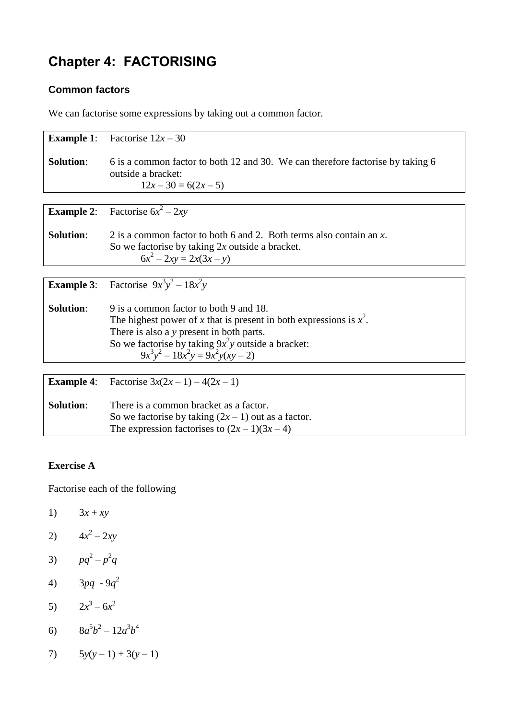# **Chapter 4: FACTORISING**

### **Common factors**

We can factorise some expressions by taking out a common factor.

| <b>Example 1:</b> | Factorise $12x - 30$                                                           |
|-------------------|--------------------------------------------------------------------------------|
| <b>Solution:</b>  | 6 is a common factor to both 12 and 30. We can therefore factorise by taking 6 |
|                   | outside a bracket:                                                             |
|                   | $12x - 30 = 6(2x - 5)$                                                         |
|                   |                                                                                |
| <b>Example 2:</b> | Factorise $6x^2 - 2xy$                                                         |
| <b>Solution:</b>  | 2 is a common factor to both 6 and 2. Both terms also contain an x.            |
|                   | So we factorise by taking $2x$ outside a bracket.                              |
|                   | $6x^2 - 2xy = 2x(3x - y)$                                                      |
|                   |                                                                                |
|                   |                                                                                |
| <b>Example 3:</b> | Factorise $9x^3y^2 - 18x^2y$                                                   |
|                   |                                                                                |
| <b>Solution:</b>  | 9 is a common factor to both 9 and 18.                                         |
|                   | The highest power of x that is present in both expressions is $x^2$ .          |
|                   | There is also a y present in both parts.                                       |
|                   | So we factorise by taking $9x^2y$ outside a bracket:                           |
|                   | $9x^3y^2 - 18x^2y = 9x^2y(xy - 2)$                                             |
|                   |                                                                                |
|                   |                                                                                |
| <b>Example 4:</b> | Factorise $3x(2x-1) - 4(2x-1)$                                                 |
|                   |                                                                                |
| <b>Solution:</b>  | There is a common bracket as a factor.                                         |
|                   | So we factorise by taking $(2x - 1)$ out as a factor.                          |
|                   | The expression factorises to $(2x-1)(3x-4)$                                    |
|                   |                                                                                |

### **Exercise A**

Factorise each of the following

- 1)  $3x + xy$
- 2)  $4x^2 2xy$
- 3)  $pq^2 p^2q$
- 4)  $3pq 9q^2$
- 5)  $2x^3 6x^2$
- 6)  $8a^5b^2 12a^3b^4$
- 7)  $5y(y-1) + 3(y-1)$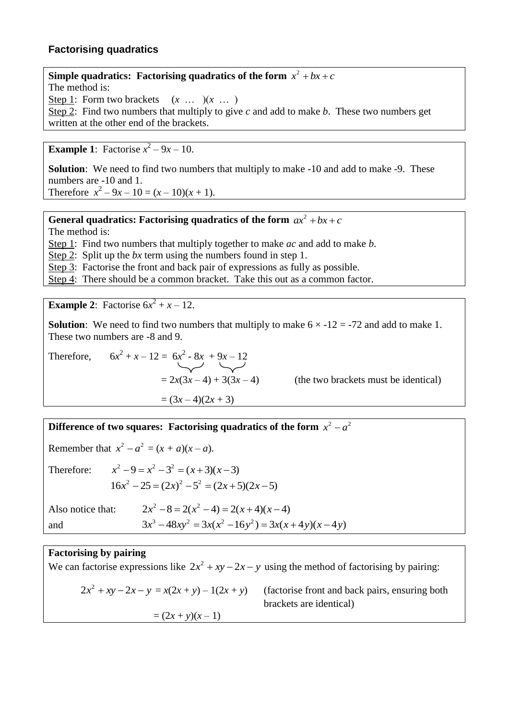#### **Factorising quadratics**

#### **Simple quadratics: Factorising quadratics of the form**  $x^2 + bx + c$ The method is: Step 1: Form two brackets  $(x \dots)(x \dots)$ Step 2: Find two numbers that multiply to give *c* and add to make *b*. These two numbers get written at the other end of the brackets.

**Example 1**: Factorise  $x^2 - 9x - 10$ .

**Solution**: We need to find two numbers that multiply to make -10 and add to make -9. These numbers are -10 and 1. Therefore  $x^2 - 9x - 10 = (x - 10)(x + 1)$ .

#### **General quadratics: Factorising quadratics of the form**  $ax^2 + bx + c$

The method is:

Step 1: Find two numbers that multiply together to make *ac* and add to make *b*.

Step 2: Split up the *bx* term using the numbers found in step 1.

Step 3: Factorise the front and back pair of expressions as fully as possible.

Step 4: There should be a common bracket. Take this out as a common factor.

**Example 2:** Factorise  $6x^2 + x - 12$ .

**Solution**: We need to find two numbers that multiply to make  $6 \times -12 = -72$  and add to make 1. These two numbers are -8 and 9.

Therefore, 6*x*

 $x^2 + x - 12 = 6x^2 - 8x + 9x - 12$  $= 2x(3x-4) + 3(3x-4)$  (the two brackets must be identical)  $=(3x-4)(2x+3)$ 

**Difference of two squares: Factorising quadratics of the form**  $x^2 - a^2$ 

Remember that  $x^2 - a^2 = (x + a)(x - a)$ . Therefore:  $x^2-9=x^2-3^2=(x+3)(x-3)$  $16x^{2} - 25 = (2x)^{2} - 5^{2} = (2x + 5)(2x - 5)$ Also notice that:  $2x^{2} - 8 = 2(x^{2} - 4) = 2(x + 4)(x - 4)$ and  $3x^{3} - 48xy^{2} = 3x(x^{2} - 16y^{2}) = 3x(x + 4y)(x - 4y)$ 

#### **Factorising by pairing**

We can factorise expressions like  $2x^2 + xy - 2x - y$  using the method of factorising by pairing:

$$
2x2 + xy - 2x - y = x(2x + y) - 1(2x + y)
$$
 (factorise front and back pairs, ensuring both brackets are identical)  
=  $(2x + y)(x - 1)$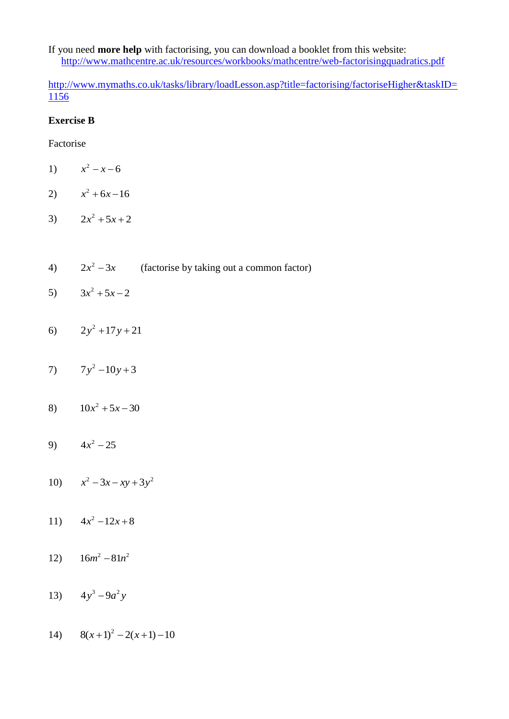If you need **more help** with factorising, you can download a booklet from this website: <http://www.mathcentre.ac.uk/resources/workbooks/mathcentre/web-factorisingquadratics.pdf>

[http://www.mymaths.co.uk/tasks/library/loadLesson.asp?title=factorising/factoriseHigher&taskID=](http://www.mymaths.co.uk/tasks/library/loadLesson.asp?title=factorising/factoriseHigher&taskID=1156) [1156](http://www.mymaths.co.uk/tasks/library/loadLesson.asp?title=factorising/factoriseHigher&taskID=1156)

#### **Exercise B**

Factorise

- 1)  $x^2 - x - 6$
- 2)  $x^2 + 6x 16$
- 3)  $2x^2 + 5x + 2$
- 4)  $2x^2 - 3x$ (factorise by taking out a common factor)
- 5)  $3x^2 + 5x - 2$
- 6)  $2y^2 + 17y + 21$
- 7)  $7y^2 10y + 3$
- 8)  $10x^2 + 5x 30$
- 9)  $4x^2 25$
- 10)  $x^2 3x xy + 3y^2$
- 11)  $4x^2-12x+8$
- 12)  $16m^2 81n^2$
- 13)  $4y^3 9a^2y$
- 14)  $8(x+1)^2 2(x+1) 10$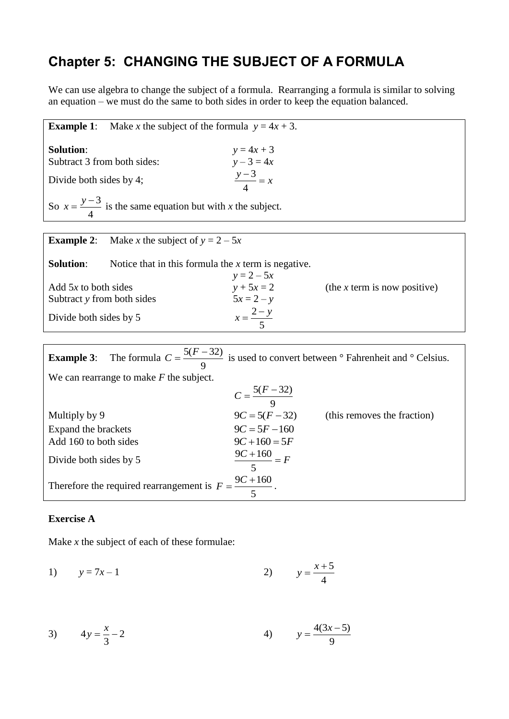# **Chapter 5: CHANGING THE SUBJECT OF A FORMULA**

We can use algebra to change the subject of a formula. Rearranging a formula is similar to solving an equation – we must do the same to both sides in order to keep the equation balanced.

| <b>Example 1:</b>                                                   | Make x the subject of the formula $y = 4x + 3$ .                                                           |                              |
|---------------------------------------------------------------------|------------------------------------------------------------------------------------------------------------|------------------------------|
| <b>Solution:</b><br>Subtract 3 from both sides:                     | $y = 4x + 3$<br>$y - 3 = 4x$                                                                               |                              |
| Divide both sides by 4;                                             | $\frac{y-3}{4} = x$                                                                                        |                              |
| So $x = \frac{y-3}{4}$ is the same equation but with x the subject. |                                                                                                            |                              |
|                                                                     |                                                                                                            |                              |
| Make x the subject of $y = 2 - 5x$<br><b>Example 2:</b>             |                                                                                                            |                              |
| <b>Solution:</b>                                                    | Notice that in this formula the $x$ term is negative.<br>$y = 2 - 5x$                                      |                              |
| Add $5x$ to both sides                                              | $y + 5x = 2$                                                                                               | (the x term is now positive) |
| Subtract y from both sides                                          | $5x = 2 - y$                                                                                               |                              |
| Divide both sides by 5                                              | $x = \frac{2-y}{5}$                                                                                        |                              |
|                                                                     |                                                                                                            |                              |
| <b>Example 3:</b>                                                   | The formula $C = \frac{5(F-32)}{9}$ is used to convert between $\degree$ Fahrenheit and $\degree$ Celsius. |                              |
| We can rearrange to make $F$ the subject.                           |                                                                                                            |                              |
|                                                                     | $C = \frac{5(F-32)}{9}$                                                                                    |                              |
| Multiply by 9                                                       | $9C = 5(F - 32)$ (this removes the fraction)                                                               |                              |

 $9C = 5F - 160$ 

| Add 160 to both sides                                                   | $9C+160=5F$            |
|-------------------------------------------------------------------------|------------------------|
| Divide both sides by 5                                                  | $\frac{9C+160}{F} = F$ |
| Therefore the required rearrangement is $F = \frac{9C + 160}{\cdots}$ . |                        |

#### **Exercise A**

Expand the brackets

Make *x* the subject of each of these formulae:

1)  $y = 7x - 1$ 5 4  $y = \frac{x+1}{x}$ 

3) 
$$
4y = \frac{x}{3} - 2
$$
 4)  $y = \frac{4(3x - 5)}{9}$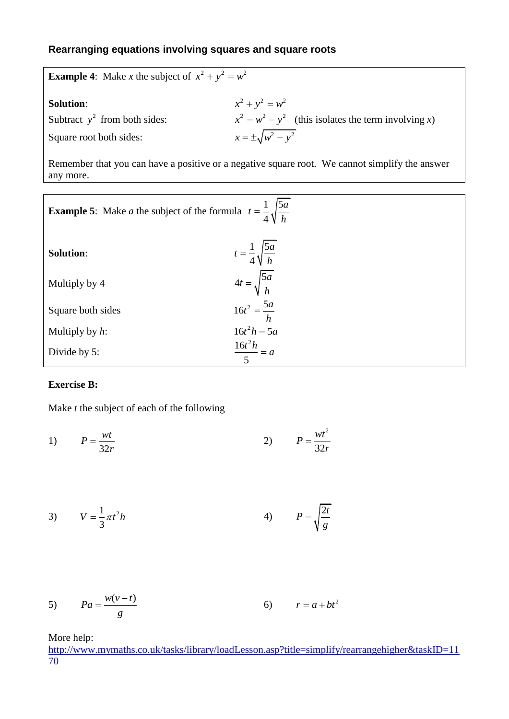### **Rearranging equations involving squares and square roots**

| <b>Example 4:</b> Make x the subject of $x^2 + y^2 = w^2$ |                                                              |  |
|-----------------------------------------------------------|--------------------------------------------------------------|--|
| <b>Solution:</b>                                          | $x^2 + y^2 = w^2$                                            |  |
| Subtract $y^2$ from both sides:                           | $x^{2} = w^{2} - y^{2}$ (this isolates the term involving x) |  |
| Square root both sides:                                   | $x = \pm \sqrt{w^2 - y^2}$                                   |  |

Remember that you can have a positive or a negative square root. We cannot simplify the answer any more.

| <b>Example 5:</b> Make <i>a</i> the subject of the formula $t = \frac{1}{4} \sqrt{\frac{5a}{h}}$ |                                       |  |
|--------------------------------------------------------------------------------------------------|---------------------------------------|--|
| <b>Solution:</b>                                                                                 | $t = \frac{1}{4} \sqrt{\frac{5a}{h}}$ |  |
| Multiply by 4                                                                                    | $4t = \sqrt{\frac{5a}{h}}$            |  |
| Square both sides                                                                                | $16t^2 = \frac{5a}{h}$                |  |
| Multiply by $h$ :                                                                                | $16t^2h = 5a$                         |  |
| Divide by 5:                                                                                     | $\frac{16t^2h}{5} = a$                |  |

#### **Exercise B:**

Make *t* the subject of each of the following

1) 32  $P = \frac{wt}{2}$ *r*  $=$ 2) 2 32  $P = \frac{wt}{2}$ *r*  $=$ 

$$
V = \frac{1}{3}\pi t^2 h
$$

$$
5) \t Pa = \frac{w(v-t)}{g} \t 6) \t r = a + bt^2
$$

More help:

[http://www.mymaths.co.uk/tasks/library/loadLesson.asp?title=simplify/rearrangehigher&taskID=11](http://www.mymaths.co.uk/tasks/library/loadLesson.asp?title=simplify/rearrangehigher&taskID=1170)  $\overline{70}$  $\overline{70}$  $\overline{70}$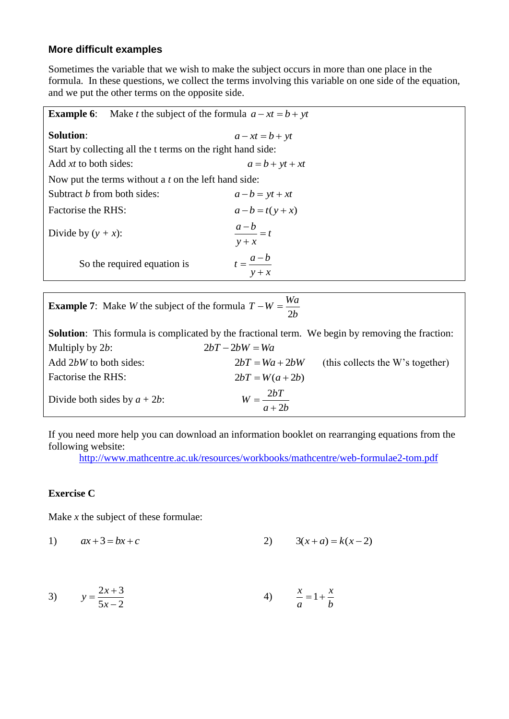### **More difficult examples**

Sometimes the variable that we wish to make the subject occurs in more than one place in the formula. In these questions, we collect the terms involving this variable on one side of the equation, and we put the other terms on the opposite side.

| Make <i>t</i> the subject of the formula $a - xt = b + yt$<br><b>Example 6:</b> |                                |  |
|---------------------------------------------------------------------------------|--------------------------------|--|
| <b>Solution:</b>                                                                | $a - xt = b + yt$              |  |
| Start by collecting all the t terms on the right hand side:                     |                                |  |
| Add $xt$ to both sides:                                                         | $a = b + yt + xt$              |  |
| Now put the terms without a $t$ on the left hand side:                          |                                |  |
| Subtract <i>b</i> from both sides:                                              | $a-b = yt + xt$                |  |
| Factorise the RHS:                                                              | $a-b = t(y + x)$               |  |
| Divide by $(y + x)$ :                                                           | $\frac{a-b}{a} = t$<br>$y + x$ |  |
| So the required equation is                                                     | $t=\frac{a-b}{a}$<br>$y + x$   |  |
|                                                                                 |                                |  |

| <b>Example 7:</b> Make <i>W</i> the subject of the formula $T - W = \frac{Wa}{2b}$                      |                        |                                  |
|---------------------------------------------------------------------------------------------------------|------------------------|----------------------------------|
| <b>Solution:</b> This formula is complicated by the fractional term. We begin by removing the fraction: |                        |                                  |
| Multiply by $2b$ :                                                                                      | $2bT - 2bW = Wa$       |                                  |
| Add 2bW to both sides:                                                                                  | $2bT = Wa + 2bW$       | (this collects the W's together) |
| Factorise the RHS:                                                                                      | $2bT = W(a + 2b)$      |                                  |
| Divide both sides by $a + 2b$ :                                                                         | $W = \frac{2bT}{a+2b}$ |                                  |

If you need more help you can download an information booklet on rearranging equations from the following website:

<http://www.mathcentre.ac.uk/resources/workbooks/mathcentre/web-formulae2-tom.pdf>

#### **Exercise C**

Make *x* the subject of these formulae:

1) 
$$
ax+3=bx+c
$$
 2)  $3(x+a)=k(x-2)$ 

3) 
$$
y = \frac{2x+3}{5x-2}
$$
 4)  $\frac{x}{a} = 1 + \frac{x}{b}$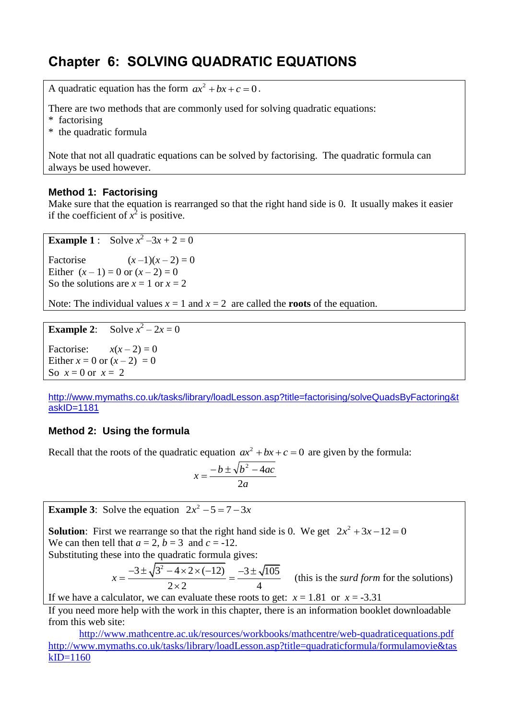# **Chapter 6: SOLVING QUADRATIC EQUATIONS**

A quadratic equation has the form  $ax^2 + bx + c = 0$ .

There are two methods that are commonly used for solving quadratic equations:

- \* factorising
- \* the quadratic formula

Note that not all quadratic equations can be solved by factorising. The quadratic formula can always be used however.

#### **Method 1: Factorising**

Make sure that the equation is rearranged so that the right hand side is 0. It usually makes it easier if the coefficient of  $x^2$  is positive.

```
Example 1 : Solve x^2 - 3x + 2 = 0
```
Factorise  $(x-1)(x-2) = 0$ Either  $(x - 1) = 0$  or  $(x - 2) = 0$ So the solutions are  $x = 1$  or  $x = 2$ 

Note: The individual values  $x = 1$  and  $x = 2$  are called the **roots** of the equation.

```
Example 2:
                     x^2 - 2x = 0
```
Factorise:  $x(x-2) = 0$ Either  $x = 0$  or  $(x - 2) = 0$ So  $x=0$  or  $x=2$ 

[http://www.mymaths.co.uk/tasks/library/loadLesson.asp?title=factorising/solveQuadsByFactoring&t](http://www.mymaths.co.uk/tasks/library/loadLesson.asp?title=factorising/solveQuadsByFactoring&taskID=1181) [askID=1181](http://www.mymaths.co.uk/tasks/library/loadLesson.asp?title=factorising/solveQuadsByFactoring&taskID=1181)

### **Method 2: Using the formula**

Recall that the roots of the quadratic equation  $ax^2 + bx + c = 0$  are given by the formula:

$$
x = \frac{-b \pm \sqrt{b^2 - 4ac}}{2a}
$$

**Example 3:** Solve the equation  $2x^2 - 5 = 7 - 3x$ 

**Solution**: First we rearrange so that the right hand side is 0. We get  $2x^2 + 3x - 12 = 0$ We can then tell that  $a = 2$ ,  $b = 3$  and  $c = -12$ .

Substituting these into the quadratic formula gives:  
\n
$$
x = \frac{-3 \pm \sqrt{3^2 - 4 \times 2 \times (-12)}}{2 \times 2} = \frac{-3 \pm \sqrt{105}}{4}
$$
\n(this is the *surd form* for the solutions)

If we have a calculator, we can evaluate these roots to get:  $x = 1.81$  or  $x = -3.31$ 

If you need more help with the work in this chapter, there is an information booklet downloadable from this web site:

 <http://www.mathcentre.ac.uk/resources/workbooks/mathcentre/web-quadraticequations.pdf> [http://www.mymaths.co.uk/tasks/library/loadLesson.asp?title=quadraticformula/formulamovie&tas](http://www.mymaths.co.uk/tasks/library/loadLesson.asp?title=quadraticformula/formulamovie&taskID=1160)  $kID=1160$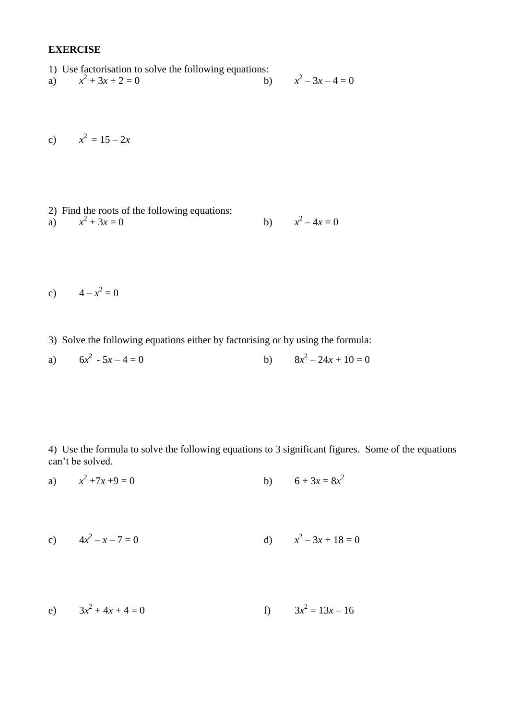#### **EXERCISE**

- 1) Use factorisation to solve the following equations:
- a) *x*  $x^2 + 3x + 2 = 0$  b) *x*  $x^2-3x-4=0$
- c)  $x^2 = 15 2x$
- 2) Find the roots of the following equations: a)  $x^2 + 3x = 0$  b) *x*  $x^2 - 4x = 0$
- c)  $4 x^2 = 0$
- 3) Solve the following equations either by factorising or by using the formula:
- a)  $6x^2 5x 4 = 0$  b) 8*x*  $x^2 - 24x + 10 = 0$

4) Use the formula to solve the following equations to 3 significant figures. Some of the equations can't be solved.

a) *x*  $x^2 + 7x + 9 = 0$  $+7x +9 = 0$  b)  $6 + 3x = 8x^2$ 

c) 
$$
4x^2 - x - 7 = 0
$$
 d)  $x^2 - 3x + 18 = 0$ 

e)  $3x^2 + 4x + 4 = 0$  f)  $3x$  $x^2 = 13x - 16$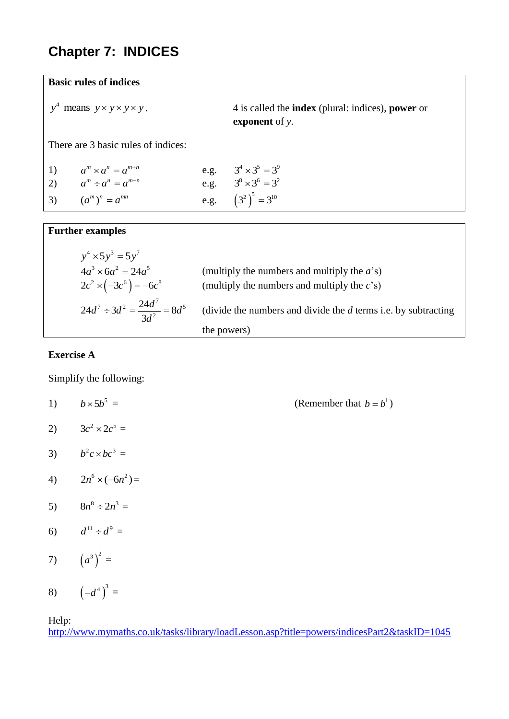# **Chapter 7: INDICES**

**Basic rules of indices**

 $y^4$  means  $y \times y \times y \times y$ .

*y y y y y* means . 4 is called the **index** (plural: indices), **power** or **exponent** of *y*.

There are 3 basic rules of indices:

| 1) $a^m \times a^n = a^{m+n}$ | e.g. $3^4 \times 3^5 = 3^9$ |
|-------------------------------|-----------------------------|
| 2) $a^m \div a^n = a^{m-n}$   | e.g. $3^8 \times 3^6 = 3^2$ |
| 3) $(a^m)^n = a^{mn}$         | e.g. $(3^2)^3 = 3^{10}$     |

#### **Further examples**

| $y^4 \times 5y^3 = 5y^7$                      |                                                                  |
|-----------------------------------------------|------------------------------------------------------------------|
| $4a^3 \times 6a^2 = 24a^5$                    | (multiply the numbers and multiply the $a$ 's)                   |
| $2c^2 \times (-3c^6) = -6c^8$                 | (multiply the numbers and multiply the $c's$ )                   |
| $24d^7 \div 3d^2 = \frac{24d^7}{3d^2} = 8d^5$ | (divide the numbers and divide the $d$ terms i.e. by subtracting |
|                                               | the powers)                                                      |

#### **Exercise A**

Simplify the following:

- 1)  $b \times 5b^5$  $=$  (Remember that  $b = b^1$ ) 2)  $3c^2 \times 2c^5 =$ 3)  $b^2 c \times b c^3 =$ 4)  $2n^6 \times (-6n^2) =$ 5)  $8n^8 \div 2n^3 =$ 6)  $d^{11} \div d^9 =$ 7)  $(a^3)^2 =$
- 8)  $(-d^4)^3 =$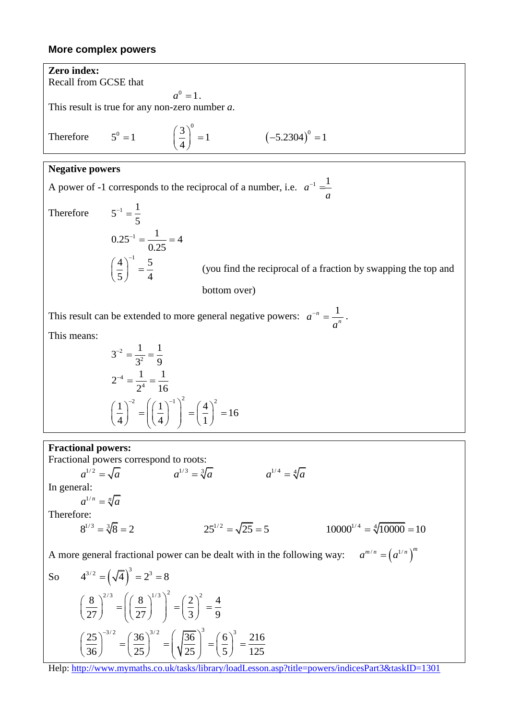### **More complex powers**

Zero index:  
\nRecall from GCSE that  
\nRecall from GCSE that  
\n
$$
a^0 = 1
$$
.  
\nThis result is true for any non-zero number a.  
\nTherefore  $5^0 = 1$   $\left(\frac{3}{4}\right)^0 = 1$   $(-5.2304)^0 = 1$   
\nNegative powers  
\nA power of -1 corresponds to the reciprocal of a number, i.e.  $a^{-1} = \frac{1}{a}$   
\nTherefore  $5^{-1} = \frac{1}{5}$   
\n $0.25^{-1} = \frac{1}{0.25} = 4$   
\n $\left(\frac{4}{5}\right)^1 = \frac{5}{4}$  (you find the reciprocal of a fraction by swapping the top and bottom over)  
\nThis result can be extended to more general negative powers:  $a^{-n} = \frac{1}{a^n}$ .  
\nThis means:  
\n $3^{-2} = \frac{1}{3^2} = \frac{1}{9}$   
\n $2^{-4} = \frac{1}{2^4} = \frac{1}{16}$   
\n $\left(\frac{1}{4}\right)^{-2} = \left(\left(\frac{1}{4}\right)^{-1}\right)^2 = \left(\frac{4}{1}\right)^2 = 16$   
\nFractional powers correspond to roots:  
\nFractional powers correspond to roots:  
\n $a^{1/2} = \sqrt{a}$   $a^{1/3} = \sqrt[3]{a}$   $a^{1/4} = \sqrt[4]{a}$   
\nIn general fractional power can be dealt with in the following way:  $a^{m/n} = (a^{1/n})^m$   
\nSo  $4^{3/2} = (\sqrt[3]{a})^3 = 2^3 = 8$   
\n $\left(\frac{3}{27}\right)^{3/2} = \left(\left(\frac{8}{27}\right)^{1/2}\right)^2 = \left(\frac{2}{3}\right)^2 = \frac{4}{9}$   
\nSo  $4^{3/2} = (\sqrt{4})^3 = 2^3 = 8$   
\n $\left(\frac{36}{27}\right)^{3/2} = \left(\frac{36}{27}\right)^{3/2} = \left(\frac{\sqrt{36}}{25}\right)^3 = \left(\frac{6}{25}\right)^3 = \frac{216}{125}$   
\nHei- http://www.mymalbs.com/knask/dhary/oodLesson asp/title-powers/ind